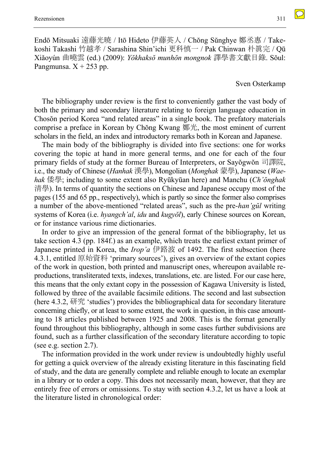Endō Mitsuaki 遠藤光暁 / Itō Hideto 伊藤英人 / Chŏng Sŭnghye 鄭丞惠 / Takekoshi Takashi 竹越孝 / Sarashina Shin'ichi 更科慎一 / Pak Chinwan 朴眞完 / Qū Xiǎoyún 曲曉雲 (ed.) (2009): *Yŏkhaksŏ munhŏn mongnok* 譯學書文獻目錄. Sŏul: Pangmunsa.  $X + 253$  pp.

Sven Osterkamp

The bibliography under review is the first to conveniently gather the vast body of both the primary and secondary literature relating to foreign language education in Chosŏn period Korea "and related areas" in a single book. The prefatory materials comprise a preface in Korean by Chŏng Kwang 鄭光, the most eminent of current scholars in the field, an index and introductory remarks both in Korean and Japanese.

The main body of the bibliography is divided into five sections: one for works covering the topic at hand in more general terms, and one for each of the four primary fields of study at the former Bureau of Interpreters, or Sayŏgwŏn 司譯院, i.e., the study of Chinese (*Hanhak* 漢學), Mongolian (*Monghak* 蒙學), Japanese (*Waehak* 倭學; including to some extent also Ryūkyūan here) and Manchu (*Ch'ŏnghak* 清學). In terms of quantity the sections on Chinese and Japanese occupy most of the pages (155 and 65 pp., respectively), which is partly so since the former also comprises a number of the above-mentioned "related areas", such as the pre-*han'gŭl* writing systems of Korea (i.e. *hyangch'al*, *idu* and *kugyŏl*), early Chinese sources on Korean, or for instance various rime dictionaries.

In order to give an impression of the general format of the bibliography, let us take section 4.3 (pp. 184f.) as an example, which treats the earliest extant primer of Japanese printed in Korea, the *Irop'a* 伊路波 of 1492. The first subsection (here 4.3.1, entitled 原始資料 'primary sources'), gives an overview of the extant copies of the work in question, both printed and manuscript ones, whereupon available reproductions, transliterated texts, indexes, translations, etc. are listed. For our case here, this means that the only extant copy in the possession of Kagawa University is listed, followed by three of the available facsimile editions. The second and last subsection (here 4.3.2, 研究 'studies') provides the bibliographical data for secondary literature concerning chiefly, or at least to some extent, the work in question, in this case amounting to 18 articles published between 1925 and 2008. This is the format generally found throughout this bibliography, although in some cases further subdivisions are found, such as a further classification of the secondary literature according to topic (see e.g. section 2.7).

The information provided in the work under review is undoubtedly highly useful for getting a quick overview of the already existing literature in this fascinating field of study, and the data are generally complete and reliable enough to locate an exemplar in a library or to order a copy. This does not necessarily mean, however, that they are entirely free of errors or omissions. To stay with section 4.3.2, let us have a look at the literature listed in chronological order:

 $\bigcirc$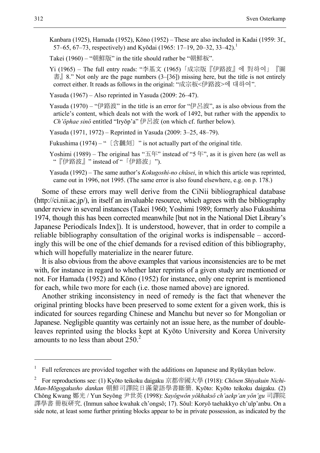Kanbara (1925), Hamada (1952), Kōno (1952) – These are also included in Kadai (1959: 3f., 57–65, 67–73, respectively) and Kyōdai (1965: 17–19, 20–32, 33–42).<sup>1</sup>

Takei (1960) – "朝鮮版" in the title should rather be "朝鮮板".

Yi (1965) – The full entry reads: "李基文 (1965)「成宗版『伊路波』에 對하여」『圖 書』8." Not only are the page numbers (3–[36]) missing here, but the title is not entirely correct either. It reads as follows in the original: "成宗板<伊路波>에 대하여".

Yasuda (1967) – Also reprinted in Yasuda (2009: 26–47).

Yasuda (1970) – "伊路波" in the title is an error for "伊呂波", as is also obvious from the article's content, which deals not with the work of 1492, but rather with the appendix to *Ch'ŏphae sinŏ* entitled "Iryŏp'a" 伊呂波 (on which cf. further below).

Yasuda (1971, 1972) – Reprinted in Yasuda (2009: 3–25, 48–79).

Fukushima (1974) – "  $[$  含飜刻  $]$  " is not actually part of the original title.

Yoshimi (1989) – The original has "五年" instead of "5 年", as it is given here (as well as "『伊路波』" instead of "「伊路波」").

Yasuda (1992) – The same author's *Kokugoshi-no chūsei*, in which this article was reprinted, came out in 1996, not 1995. (The same error is also found elsewhere, e.g. on p. 178.)

Some of these errors may well derive from the CiNii bibliographical database (http://ci.nii.ac.jp/), in itself an invaluable resource, which agrees with the bibliography under review in several instances (Takei 1960; Yoshimi 1989; formerly also Fukushima 1974, though this has been corrected meanwhile [but not in the National Diet Library's Japanese Periodicals Index]). It is understood, however, that in order to compile a reliable bibliography consultation of the original works is indispensable – accordingly this will be one of the chief demands for a revised edition of this bibliography, which will hopefully materialize in the nearer future.

It is also obvious from the above examples that various inconsistencies are to be met with, for instance in regard to whether later reprints of a given study are mentioned or not. For Hamada (1952) and Kōno (1952) for instance, only one reprint is mentioned for each, while two more for each (i.e. those named above) are ignored.

Another striking inconsistency in need of remedy is the fact that whenever the original printing blocks have been preserved to some extent for a given work, this is indicated for sources regarding Chinese and Manchu but never so for Mongolian or Japanese. Negligible quantity was certainly not an issue here, as the number of doubleleaves reprinted using the blocks kept at Kyōto University and Korea University amounts to no less than about  $250.<sup>2</sup>$ 

1

<sup>1</sup> Full references are provided together with the additions on Japanese and Ryūkyūan below.

<sup>2</sup> For reproductions see: (1) Kyōto teikoku daigaku 京都帝國大學 (1918): *Chōsen Shiyakuin Nichi-Man-Mōgogakusho dankan* 朝鮮司譯院日滿蒙語學書斷簡. Kyōto: Kyōto teikoku daigaku. (2) Chŏng Kwang 鄭光 / Yun Seyŏng 尹世英 (1998): *Sayŏgwŏn yŏkhaksŏ ch'aekp'an yŏn'gu* 司譯院 譯學書 冊板研究. (Inmun sahoe kwahak ch'ongsŏ; 17). Sŏul: Koryŏ taehakkyo ch'ulp'anbu. On a side note, at least some further printing blocks appear to be in private possession, as indicated by the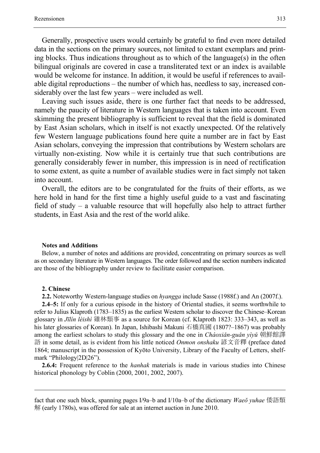Generally, prospective users would certainly be grateful to find even more detailed data in the sections on the primary sources, not limited to extant exemplars and printing blocks. Thus indications throughout as to which of the language(s) in the often bilingual originals are covered in case a transliterated text or an index is available would be welcome for instance. In addition, it would be useful if references to available digital reproductions – the number of which has, needless to say, increased considerably over the last few years – were included as well.

Leaving such issues aside, there is one further fact that needs to be addressed, namely the paucity of literature in Western languages that is taken into account. Even skimming the present bibliography is sufficient to reveal that the field is dominated by East Asian scholars, which in itself is not exactly unexpected. Of the relatively few Western language publications found here quite a number are in fact by East Asian scholars, conveying the impression that contributions by Western scholars are virtually non-existing. Now while it is certainly true that such contributions are generally considerably fewer in number, this impression is in need of rectification to some extent, as quite a number of available studies were in fact simply not taken into account.

Overall, the editors are to be congratulated for the fruits of their efforts, as we here hold in hand for the first time a highly useful guide to a vast and fascinating field of study – a valuable resource that will hopefully also help to attract further students, in East Asia and the rest of the world alike.

## **Notes and Additions**

Below, a number of notes and additions are provided, concentrating on primary sources as well as on secondary literature in Western languages. The order followed and the section numbers indicated are those of the bibliography under review to facilitate easier comparison.

### **2. Chinese**

1

**2.2.** Noteworthy Western-language studies on *hyangga* include Sasse (1988f.) and An (2007f.).

**2.4–5:** If only for a curious episode in the history of Oriental studies, it seems worthwhile to refer to Julius Klaproth (1783–1835) as the earliest Western scholar to discover the Chinese–Korean glossary in *Jīlín lèishì* 雞林類事 as a source for Korean (cf. Klaproth 1823: 333–343, as well as his later glossaries of Korean). In Japan, Ishibashi Makuni 石橋真國 (1807?–1867) was probably among the earliest scholars to study this glossary and the one in *Cháoxiǎn-guǎn yìyǔ* 朝鮮館譯 語 in some detail, as is evident from his little noticed *Onmon onshaku* 諺文音釋 (preface dated 1864; manuscript in the possession of Kyōto University, Library of the Faculty of Letters, shelfmark "Philology|2D|26").

**2.6.4:** Frequent reference to the *hanhak* materials is made in various studies into Chinese historical phonology by Coblin (2000, 2001, 2002, 2007).

fact that one such block, spanning pages I/9a–b and I/10a–b of the dictionary *Waeŏ yuhae* 倭語類 解 (early 1780s), was offered for sale at an internet auction in June 2010.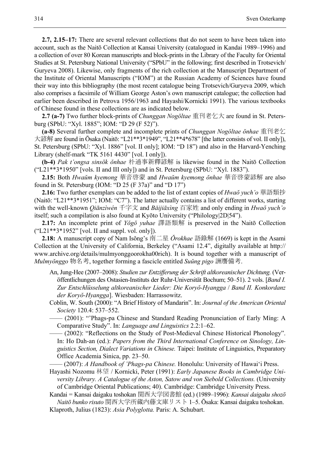**2.7, 2.15–17:** There are several relevant collections that do not seem to have been taken into account, such as the Naitō Collection at Kansai University (catalogued in Kandai 1989–1996) and a collection of over 80 Korean manuscripts and block-prints in the Library of the Faculty for Oriental Studies at St. Petersburg National University ("SPbU" in the following; first described in Trotsevich/ Guryeva 2008). Likewise, only fragments of the rich collection at the Manuscript Department of the Institute of Oriental Manuscripts ("IOM") at the Russian Academy of Sciences have found their way into this bibliography (the most recent catalogue being Trotsevich/Guryeva 2009, which also comprises a facsimile of William George Aston's own manuscript catalogue; the collection had earlier been described in Petrova 1956/1963 and Hayashi/Kornicki 1991). The various textbooks of Chinese found in these collections are as indicated below.

**2.7 (a-7)** Two further block-prints of *Chunggan Nogŏltae* 重刊老乞大 are found in St. Petersburg (SPbU: "Xyl. 1885"; IOM: "D 29 (F 52)").

**(a-8)** Several further complete and incomplete prints of *Chunggan Nogŏltae ŏnhae* 重刊老乞 大諺解 are found in Ōsaka (Naitō: "L21\*\*3\*1949", "L21\*\*4\*678" [the latter consists of vol. II only]), St. Petersburg (SPbU: "Xyl. 1886" [vol. II only]; IOM: "D 18") and also in the Harvard-Yenching Library (shelf-mark "TK 5161 4430" [vol. I only]).

**(b-4)** *Pak t'ongsa sinsŏk ŏnhae* 朴通事新釋諺解 is likewise found in the Naitō Collection  $("L21***3*1950"$  [vols. II and III only]) and in St. Petersburg (SPbU: "Xyl. 1883").

**2.15:** Both *Hwaŭm kyemong* 華音啓蒙 and *Hwaŭm kyemong ŏnhae* 華音啓蒙諺解 are also found in St. Petersburg (IOM: "D 25 (F 37a)" and "D 17")

**2.16:** Two further exemplars can be added to the list of extant copies of *Hwaŏ yuch'o* 華語類抄 (Naitō: "L21\*\*3\*1951"; IOM: "C7"). The latter actually contains a list of different works, starting with the well-known *Qiānzìwén* 千字文 and *Bǎijiāxìng* 百家姓 and only ending in *Hwaŏ yuch'o* itself; such a compilation is also found at Kyōto University ("Philology|2D|54").

**2.17:** An incomplete print of *Yŏgŏ yuhae* 譯語類解 is preserved in the Naitō Collection ("L21\*\*3\*1952" [vol. II and suppl. vol. only]).

**2.18:** A manuscript copy of Nam Isŏng's 南二星 *Ŏrokhae* 語錄解 (1669) is kept in the Asami Collection at the University of California, Berkeley ("Asami 12.4", digitally available at http:// www.archive.org/details/mulmyonggoorokha00rich). It is bound together with a manuscript of *Mulmyŏnggo* 物名考, together forming a fascicle entitled *Suŭng pigo* 詶譍備考.

- An, Jung-Hee (2007–2008): *Studien zur Entzifferung der Schrift altkoreanischer Dichtung.* (Veröffentlichungen des Ostasien-Instituts der Ruhr-Universität Bochum; 50–51). 2 vols. [*Band I. Zur Entschlüsselung altkoreanischer Lieder: Die Koryŏ-Hyangga* / *Band II. Konkordanz der Koryŏ-Hyangga*]. Wiesbaden: Harrassowitz.
- Coblin, W. South (2000): "A Brief History of Mandarin". In: *Journal of the American Oriental Society* 120.4: 537–552.
- (2001): "'Phags-pa Chinese and Standard Reading Pronunciation of Early Míng: A Comparative Study". In: *Language and Linguistics* 2.2:1–62.
- —— (2002): "Reflections on the Study of Post-Medieval Chinese Historical Phonology". In: Ho Dah-an (ed.): *Papers from the Third International Conference on Sinology, Linguistics Section, Dialect Variations in Chinese.* Taipei: Institute of Linguistics, Preparatory Office Academia Sinica, pp. 23–50.
- —— (2007): *A Handbook of 'Phags-pa Chinese.* Honolulu: University of Hawai'i Press.
- Hayashi Nozomu 林望 / Kornicki, Peter (1991): *Early Japanese Books in Cambridge University Library. A Catalogue of the Aston, Satow and von Siebold Collections.* (University of Cambridge Oriental Publications; 40). Cambridge: Cambridge University Press.

Kandai = Kansai daigaku toshokan 関西大学図書館 (ed.) (1989–1996): *Kansai daigaku shozō Naitō bunko risuto* 関西大学所蔵内藤文庫リスト 1–5. Ōsaka: Kansai daigaku toshokan.

Klaproth, Julius (1823): *Asia Polyglotta.* Paris: A. Schubart.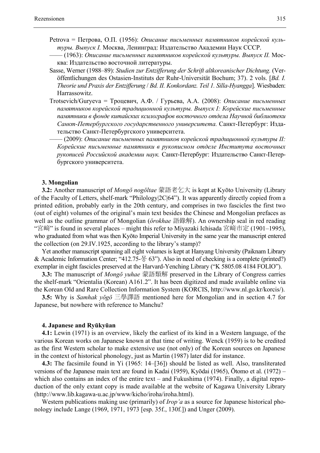- Petrova = Петрова, О.П. (1956): *Описание письменных памятников корейской культуры. Выпуск I.* Москва, Ленинград: Издательство Академии Наук СССР.
- —— (1963): *Описание письменных памятников корейской культуры. Выпуск II.* Москва: Издательство восточной литературы.
- Sasse, Werner (1988–89): *Studien zur Entzifferung der Schrift altkoreanischer Dichtung.* (Veröffentlichungen des Ostasien-Instituts der Ruhr-Universität Bochum; 37). 2 vols. [*Bd. I. Theorie und Praxis der Entzifferung* / *Bd. II. Konkordanz. Teil 1. Silla-Hyangga*]. Wiesbaden: Harrassowitz.
- Trotsevich/Guryeva = Троцевич, А.Ф. / Гурьeва, А.А. (2008): *Описание письменных памятников корейской традиционной культуры. Выпуск I: Корейские письменные памятники в фонде китайских ксилографов восточного отдела Научной библиотеки Санкт-Петербургского государственного университета.* Cанкт-Петербург: Издательство Cанкт-Петербургского университета.
	- —— (2009): *Описание письменных памятников корейской традиционной культуры II: Корейские письменные памятники в рукописном отделе Института восточных рукописей Российской академии наук.* Cанкт-Петербург: Издательство Cанкт-Петербургского университета.

### **3. Mongolian**

**3.2:** Another manuscript of *Mongŏ nogŏltae* 蒙語老乞大 is kept at Kyōto University (Library of the Faculty of Letters, shelf-mark "Philology|2C|64"). It was apparently directly copied from a printed edition, probably early in the 20th century, and comprises in two fascicles the first two (out of eight) volumes of the original's main text besides the Chinese and Mongolian prefaces as well as the outline grammar of Mongolian (*ŏrokhae* 語錄解). An ownership seal in red reading "宮﨑" is found in several places – might this refer to Miyazaki Ichisada 宮﨑市定 (1901–1995), who graduated from what was then Kyōto Imperial University in the same year the manuscript entered the collection (on 29.IV.1925, according to the library's stamp)?

Yet another manuscript spanning all eight volumes is kept at Hanyang University (Paiknam Library & Academic Information Center; "412.75- $\frac{12}{5}$  63"). Also in need of checking is a complete (printed?) exemplar in eight fascicles preserved at the Harvard-Yenching Library ("K 5805.08 4184 FOLIO").

**3.3:** The manuscript of *Mongŏ yuhae* 蒙語類解 preserved in the Library of Congress carries the shelf-mark "Orientalia (Korean) A161.2". It has been digitized and made available online via the Korean Old and Rare Collection Information System (KORCIS, http://www.nl.go.kr/korcis/).

**3.5:** Why is *Samhak yŏgŏ* 三學譯語 mentioned here for Mongolian and in section 4.7 for Japanese, but nowhere with reference to Manchu?

#### **4. Japanese and Ryūkyūan**

**4.1:** Lewin (1971) is an overview, likely the earliest of its kind in a Western language, of the various Korean works on Japanese known at that time of writing. Wenck (1959) is to be credited as the first Western scholar to make extensive use (not only) of the Korean sources on Japanese in the context of historical phonology, just as Martin (1987) later did for instance.

**4.3:** The facsimile found in Yi (1965: 14–[36]) should be listed as well. Also, transliterated versions of the Japanese main text are found in Kadai (1959), Kyōdai (1965), Ōtomo et al. (1972) – which also contains an index of the entire text – and Fukushima (1974). Finally, a digital reproduction of the only extant copy is made available at the website of Kagawa University Library (http://www.lib.kagawa-u.ac.jp/www/kicho/iroha/iroha.html).

Western publications making use (primarily) of *Irop'a* as a source for Japanese historical phonology include Lange (1969, 1971, 1973 [esp. 35f., 130f.]) and Unger (2009).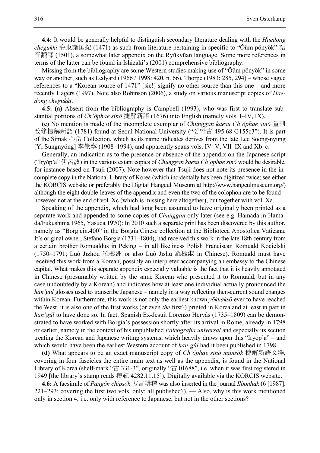**4.4:** It would be generally helpful to distinguish secondary literature dealing with the *Haedong chegukki* 海東諸国紀 (1471) as such from literature pertaining in specific to "Ŏŭm pŏnyŏk" 語 音飜譯 (1501), a somewhat later appendix on the Ryūkyūan language. Some more references in terms of the latter can be found in Ishizaki's (2001) comprehensive bibliography.

Missing from the bibliography are some Western studies making use of "Ŏŭm pŏnyŏk" in some way or another, such as Ledyard (1966 / 1998: 420, n. 66), Thorpe (1983: 285, 294) – whose vague references to a "Korean source of 1471" [sic!] signify no other source than this one – and more recently Hagers (1997). Note also Robinson (2006), a study on various manuscript copies of *Haedong chegukki*.

**4.5: (a)** Absent from the bibliography is Campbell (1993), who was first to translate substantial portions of *Ch'ŏphae sinŏ* 捷解新語 (1676) into English (namely vols. I–IV, IX).

**(c)** No mention is made of the incomplete exemplar of *Chunggan kaesu Ch'ŏphae sinŏ* 重刊 改修捷解新語 (1781) found at Seoul National University ("심악古 495.68 G155c3"). It is part of the Simak  $\hat{\psi}$  for Collection, which as its name indicates derives from the late Lee Soong-nyung [Yi Sungnyŏng] 李崇寧 (1908–1994), and apparently spans vols. IV–V, VII–IX and Xb–c.

Generally, an indication as to the presence or absence of the appendix on the Japanese script ("Iryŏp'a" 伊呂波) in the various extant copies of *Chunggan kaesu Ch'ŏphae sinŏ* would be desirable, for instance based on Tsuji (2007). Note however that Tsuji does not note its presence in the incomplete copy in the National Library of Korea (which incidentally has been digitized twice; see either the KORCIS website or preferably the Digital Hangeul Museum at http://www.hangeulmuseum.org/) although the eight double-leaves of the appendix and even the two of the colophon are to be found – however not at the end of vol. Xc (which is missing here altogether), but together with vol. Xa.

Speaking of the appendix, which had long been assumed to have originally been printed as a separate work and appended to some copies of *Chunggan* only later (see e.g. Hamada in Hamada/Fukushima 1965, Yasuda 1970): In 2010 such a separate print has been discovered by this author, namely as "Borg.cin.400" in the Borgia Cinese collection at the Biblioteca Apostolica Vaticana. It's original owner, Stefano Borgia (1731–1804), had received this work in the late 18th century from a certain brother Romualdus in Peking – in all likeliness Polish Franciscan Romuald Kocielski (1750–1791; Luó Jīzhōu 羅機洲 or also Luó Jīshū 羅機淑 in Chinese). Romuald must have received this work from a Korean, possibly an interpreter accompanying an embassy to the Chinese capital. What makes this separate appendix especially valuable is the fact that it is heavily annotated in Chinese (presumably written by the same Korean who presented it to Romuald, but in any case undoubtedly by a Korean) and indicates how at least one individual actually pronounced the *han'gŭl* glosses used to transcribe Japanese – namely in a way reflecting then-current sound changes within Korean. Furthermore, this work is not only the earliest known *yŏkhaksŏ* ever to have reached the West, it is also one of the first works (or even *the* first?) printed in Korea and at least in part in *han'gŭl* to have done so. In fact, Spanish Ex-Jesuit Lorenzo Hervás (1735–1809) can be demonstrated to have worked with Borgia's possession shortly after its arrival in Rome, already in 1798 or earlier, namely in the context of his unpublished *Paleografìa universal* and especially its section treating the Korean and Japanese writing systems, which heavily draws upon this "Iryŏp'a" – and which would have been the earliest Western account of *han'gŭl* had it been published in 1798.

**(d)** What appears to be an exact manuscript copy of *Ch'ŏphae sinŏ munsŏk* 捷解新語文釋, covering in four fascicles the entire main text as well as the appendix, is found in the National Library of Korea (shelf-mark "古 331-3", originally "古 01688", i.e. when it was first registered in 1949 [the library's stamp reads 檀紀 4282.11.15]). Digitally available via the KORCIS website.

**4.6:** A facsimile of *Pangŏn chipsŏk* 方言輯釋 was also inserted in the journal *Ilbonhak* (6 [1987]: 221–293; covering the first two vols. only; all published?). — Also, why is this work mentioned only in section 4, i.e. only with reference to Japanese, but not in the other sections?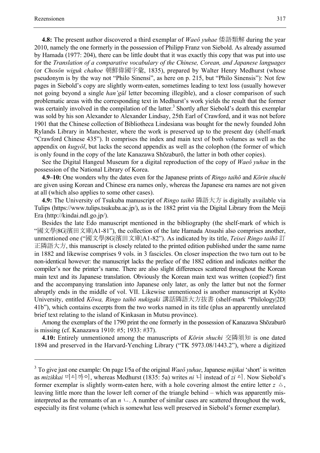1

**4.8:** The present author discovered a third exemplar of *Waeŏ yuhae* 倭語類解 during the year 2010, namely the one formerly in the possession of Philipp Franz von Siebold. As already assumed by Hamada (1977: 204), there can be little doubt that it was exactly this copy that was put into use for the *Translation of a comparative vocabulary of the Chinese, Corean, and Japanese languages* (or *Chosŏn wiguk chahoe* 朝鮮偉國字彙, 1835), prepared by Walter Henry Medhurst (whose pseudonym is by the way not "Philo Sinensi", as here on p. 215, but "Philo Sinensis"): Not few pages in Siebold's copy are slightly worm-eaten, sometimes leading to text loss (usually however not going beyond a single *han'gŭl* letter becoming illegible), and a closer comparison of such problematic areas with the corresponding text in Medhurst's work yields the result that the former was certainly involved in the compilation of the latter.<sup>3</sup> Shortly after Siebold's death this exemplar was sold by his son Alexander to Alexander Lindsay, 25th Earl of Crawford, and it was not before 1901 that the Chinese collection of Bibliotheca Lindesiana was bought for the newly founded John Rylands Library in Manchester, where the work is preserved up to the present day (shelf-mark "Crawford Chinese 435"). It comprises the index and main text of both volumes as well as the appendix on *kugyŏl*, but lacks the second appendix as well as the colophon (the former of which is only found in the copy of the late Kanazawa Shōzaburō, the latter in both other copies).

See the Digital Hangeul Museum for a digital reproduction of the copy of *Waeŏ yuhae* in the possession of the National Library of Korea.

**4.9–10:** One wonders why the dates even for the Japanese prints of *Ringo taihō* and *Kōrin shuchi* are given using Korean and Chinese era names only, whereas the Japanese era names are not given at all (which also applies to some other cases).

**4.9:** The University of Tsukuba manuscript of *Ringo taihō* 隣語大方 is digitally available via Tulips (https://www.tulips.tsukuba.ac.jp/), as is the 1882 print via the Digital Library from the Meiji Era (http://kindai.ndl.go.jp/).

Besides the late Edo manuscript mentioned in the bibliography (the shelf-mark of which is "國文學|8G|濱田文庫|A1-81"), the collection of the late Hamada Atsushi also comprises another, unmentioned one ("國文學|8G|濱田文庫|A1-82"). As indicated by its title, *Teisei Ringo taihō* 訂 正隣語大方, this manuscript is closely related to the printed edition published under the same name in 1882 and likewise comprises 9 vols. in 3 fascicles. On closer inspection the two turn out to be non-identical however: the manuscript lacks the preface of the 1882 edition and indicates neither the compiler's nor the printer's name. There are also slight differences scattered throughout the Korean main text and its Japanese translation. Obviously the Korean main text was written (copied?) first and the accompanying translation into Japanese only later, as only the latter but not the former abruptly ends in the middle of vol. VII. Likewise unmentioned is another manuscript at Kyōto University, entitled *Kōwa, Ringo taihō nukigaki* 講話隣語大方抜書 (shelf-mark "Philology|2D| 41b"), which contains excerpts from the two works named in its title (plus an apparently unrelated brief text relating to the island of Kinkasan in Mutsu province).

Among the exemplars of the 1790 print the one formerly in the possession of Kanazawa Shōzaburō is missing (cf. Kanazawa 1910: #5; 1933: #37).

**4.10:** Entirely unmentioned among the manuscripts of *Kōrin shuchi* 交隣須知 is one dated 1894 and preserved in the Harvard-Yenching Library ("TK 5973.08/1443.2"), where a digitized

<sup>3</sup> To give just one example: On page I/5a of the original *Waeŏ yuhae*, Japanese *mijikai* 'short' is written as *mizikkai* 미시까이, whereas Medhurst (1835: 5a) writes *ni* 니 instead of *zi* 시. Now Siebold's former exemplar is slightly worm-eaten here, with a hole covering almost the entire letter  $z \Delta$ , leaving little more than the lower left corner of the triangle behind – which was apparently misinterpreted as the remnants of an  $n \text{ } \text{\textbackslash}$ . A number of similar cases are scattered throughout the work, especially its first volume (which is somewhat less well preserved in Siebold's former exemplar).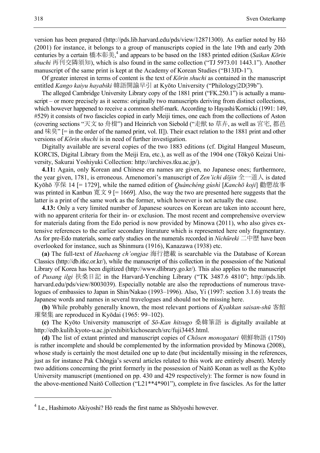version has been prepared (http://pds.lib.harvard.edu/pds/view/12871300). As earlier noted by Hŏ (2001) for instance, it belongs to a group of manuscripts copied in the late 19th and early 20th centuries by a certain 橋本彰美, 4 and appears to be based on the 1883 printed edition (*Saikan Kōrin shuchi* 再刊交隣須知), which is also found in the same collection ("TJ 5973.01 1443.1"). Another manuscript of the same print is kept at the Academy of Korean Studies ("B13JD-1").

Of greater interest in terms of content is the text of *Kōrin shuchi* as contained in the manuscript entitled *Kango kaiyu hayabiki* 韓語開諭早引 at Kyōto University ("Philology|2D|39b").

The alleged Cambridge University Library copy of the 1881 print ("FK.250.1") is actually a manuscript – or more precisely as it seems: originally two manuscripts deriving from distinct collections, which however happened to receive a common shelf-mark. According to Hayashi/Kornicki (1991: 149, #529) it consists of two fascicles copied in early Meiji times, one each from the collections of Aston (covering sections "天文 to 舟楫") and Heinrich von Siebold ("走獣 to 草卉, as well as 宮宅, 都邑 and 味臭" [= in the order of the named print, vol. II]). Their exact relation to the 1881 print and other versions of *Kōrin shuchi* is in need of further investigation.

Digitally available are several copies of the two 1883 editions (cf. Digital Hangeul Museum, KORCIS, Digital Library from the Meiji Era, etc.), as well as of the 1904 one (Tōkyō Keizai University, Sakurai Yoshiyuki Collection: http://archives.tku.ac.jp/).

**4.11:** Again, only Korean and Chinese era names are given, no Japanese ones; furthermore, the year given, 1781, is erroneous. Amenomori's manuscript of *Zen'ichi dōjin* 全一道人 is dated Kyōhō 享保 14 [= 1729], while the named edition of *Quànchéng gùshì* [*Kanchō koji*] 勸懲故事 was printed in Kanbun 寛文 9 [= 1669]. Also, the way the two are presented here suggests that the latter is a print of the same work as the former, which however is not actually the case.

**4.13:** Only a very limited number of Japanese sources on Korean are taken into account here, with no apparent criteria for their in- or exclusion. The most recent and comprehensive overview for materials dating from the Edo period is now provided by Minowa (2011), who also gives extensive references to the earlier secondary literature which is represented here only fragmentary. As for pre-Edo materials, some early studies on the numerals recorded in *Nichūreki* 二中歴 have been overlooked for instance, such as Shinmura (1916), Kanazawa (1938) etc.

**(a)** The full-text of *Haehaeng ch'ongjae* 海行摠載 is searchable via the Database of Korean Classics (http://db.itkc.or.kr/), while the manuscript of this collection in the possession of the National Library of Korea has been digitized (http://www.dlibrary.go.kr/). This also applies to the manuscript of *Pusang ilgi* 扶桑日記 in the Harvard-Yenching Library ("TK 3487.6 4810"; http://pds.lib. harvard.edu/pds/view/8003039). Especially notable are also the reproductions of numerous travelogues of embassies to Japan in Shin/Nakao (1993–1996). Also, Yi (1997: section 3.1.6) treats the Japanese words and names in several travelogues and should not be missing here.

**(b)** While probably generally known, the most relevant portions of *Kyakkan saisan-shū* 客館 璀粲集 are reproduced in Kyōdai (1965: 99–102).

**(c)** The Kyōto University manuscript of *Sō-Kan hitsugo* 桑韓筆語 is digitally available at http://edb.kulib.kyoto-u.ac.jp/exhibit/kichosearch/src/fuji3445.html.

**(d)** The list of extant printed and manuscript copies of *Chōsen monogatari* 朝鮮物語 (1750) is rather incomplete and should be complemented by the information provided by Minowa (2008), whose study is certainly the most detailed one up to date (but incidentally missing in the references, just as for instance Pak Chŏngja's several articles related to this work are entirely absent). Merely two additions concerning the print formerly in the possession of Naitō Konan as well as the Kyōto University manuscript (mentioned on pp. 430 and 429 respectively): The former is now found in the above-mentioned Naitō Collection ("L21\*\*4\*901"), complete in five fascicles. As for the latter

1

<sup>&</sup>lt;sup>4</sup> I.e., Hashimoto Akiyoshi? Hŏ reads the first name as Shōyoshi however.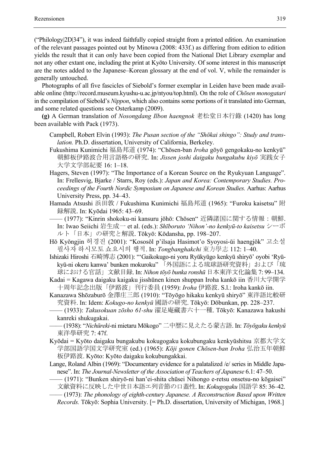("Philology|2D|34"), it was indeed faithfully copied straight from a printed edition. An examination of the relevant passages pointed out by Minowa (2008: 433f.) as differing from edition to edition yields the result that it can only have been copied from the National Diet Library exemplar and not any other extant one, including the print at Kyōto University. Of some interest in this manuscript are the notes added to the Japanese–Korean glossary at the end of vol. V, while the remainder is generally untouched.

Photographs of all five fascicles of Siebold's former exemplar in Leiden have been made available online (http://record.museum.kyushu-u.ac.jp/ntyou/top.html). On the role of *Chōsen monogatari* in the compilation of Siebold's *Nippon*, which also contains some portions of it translated into German, and some related questions see Osterkamp (2009).

**(g)** A German translation of *Nosongdang Ilbon haengnok* 老松堂日本行錄 (1420) has long been available with Pack (1973).

- Campbell, Robert Elvin (1993): *The Pusan section of the "Shōkai shingo": Study and translation.* Ph.D. dissertation, University of California, Berkeley.
- Fukushima Kunimichi 福島邦道 (1974): "Chōsen-ban *Iroha* gōyō gengokaku-no kenkyū" 朝鮮板伊路波合用言語格の研究. In: *Jissen joshi daigaku bungakubu kiyō* 実践女子 大学文学部紀要 16: 1–18.
- Hagers, Steven (1997): "The Importance of a Korean Source on the Ryukyuan Language". In: Frellesvig, Bjarke / Starrs, Roy (eds.): *Japan and Korea: Contemporary Studies. Proceedings of the Fourth Nordic Symposium on Japanese and Korean Studies.* Aarhus: Aarhus University Press, pp. 34–43.
- Hamada Atsushi 浜田敦 / Fukushima Kunimichi 福島邦道 (1965): "Furoku kaisetsu" 附 録解説. In: Kyōdai 1965: 43–69.
- —— (1977): "Kinrin shokoku-ni kansuru jōhō: Chōsen" 近隣諸国に関する情報:朝鮮. In: Iwao Seiichi 岩生成一 et al. (eds.): *Shīboruto 'Nihon'-no kenkyū-to kaisetsu* シーボ ルト「日本」の研究と解説. Tōkyō: Kōdansha, pp. 198–207.
- Hŏ Kyŏngjin 허경진 (2001): "Kososŏl p'ilsaja Hasimot'o Syoyosi-ŭi haengjŏk" 고소설 필사자 하시모토 쇼요시의 행적. In: *Tongbanghakchi* 東方學志 112: 1–40.

Ishizaki Hiroshi 石崎博志 (2001): "'Gaikokugo-ni yoru Ryūkyūgo kenkyū shiryō' oyobi 'Ryūkyū-ni okeru kanwa' bunken mokuroku" 「外国語による琉球語研究資料」および「琉 球における官話」文献目録. In: *Nihon tōyō bunka ronshū* 日本東洋文化論集 7: 99–134.

- Kadai = Kagawa daigaku kaigaku jisshūnen kinen shuppan Iroha kankō iin 香川大学開学 十周年記念出版「伊路波」刊行委員 (1959): *Iroha* 伊路波. S.l.: Iroha kankō iin.
- Kanazawa Shōzaburō 金澤庄三郎 (1910): "Tōyōgo hikaku kenkyū shiryō" 東洋語比較研 究資料. In: Idem: *Kokugo-no kenkyū* 國語の研究. Tōkyō: Dōbunkan, pp. 228–237.
- —— (1933): *Takusokuan zōsho 61-shu* 濯足庵藏書六十一種. Tōkyō: Kanazawa hakushi kanreki shukugakai.
- —— (1938): "*Nichūreki*-ni mietaru Mōkogo" 二中歴に見えたる蒙古語. In: *Tōyōgaku kenkyū* 東洋學研究 7: 47f.
- Kyōdai = Kyōto daigaku bungakubu kokugogaku kokubungaku kenkyūshitsu 京都大学文 学部国語学国文学研究室 (ed.) (1965): *Kōji gonen Chōsen-ban Iroha* 弘治五年朝鮮 板伊路波. Kyōto: Kyōto daigaku kokubungakkai.
- Lange, Roland Albin (1969): "Documentary evidence for a palatalized /e/ series in Middle Japanese". In: *The Journal-Newsletter of the Association of Teachers of Japanese* 6.1: 47–50.
- —— (1971): "Bunken shiryō-ni han'ei-shita chūsei Nihongo e-retsu onsetsu-no kōgaisei"

文献資料に反映した中世日本語エ列音節の口蓋性. In: *Kokugogaku* 国語学 85: 36–42.

—— (1973): *The phonology of eighth-century Japanese. A Reconstruction Based upon Written Records.* Tōkyō: Sophia University. [= Ph.D. dissertation, University of Michigan, 1968.]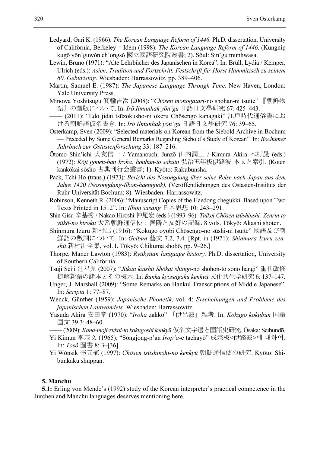- Ledyard, Gari K. (1966): *The Korean Language Reform of 1446.* Ph.D. dissertation, University of California, Berkeley = Idem (1998): *The Korean Language Reform of 1446*. (Kungnip kugŏ yŏn'guwŏn ch'ongsŏ 國立國語研究院叢書; 2). Sŏul: Sin'gu munhwasa.
- Lewin, Bruno (1971): "Alte Lehrbücher des Japanischen in Korea". In: Brüll, Lydia / Kemper, Ulrich (eds.): *Asien, Tradition und Fortschritt. Festschrift für Horst Hammitzsch zu seinem 60. Geburtstag.* Wiesbaden: Harrassowitz, pp. 389–406.
- Martin, Samuel E. (1987): *The Japanese Language Through Time.* New Haven, London: Yale University Press.
- Minowa Yoshitsugu 箕輪吉次 (2008): "*Chōsen monogatari*-no shohan-ni tsuite" 『朝鮮物 語』の諸版について. In: *Irŏ Ilmunhak yŏn'gu* 日語日文學研究 67: 425–443.
- —— (2011): "Edo jidai tsūzokusho-ni okeru Chōsengo kanagaki" 江戶時代通俗書にお ける朝鮮語仮名書き. In: *Irŏ Ilmunhak yŏn'gu* 日語日文學研究 76: 39–65.
- Osterkamp, Sven (2009): "Selected materials on Korean from the Siebold Archive in Bochum — Preceded by Some General Remarks Regarding Siebold's Study of Korean". In: *Bochumer Jahrbuch zur Ostasienforschung* 33: 187–216.
- Ōtomo Shin'ichi 大友信一 / Yamanouchi Junzō 山内潤三 / Kimura Akira 木村晟 (eds.) (1972): *Kōji gonen-ban Iroha: honbun-to sakuin* 弘治五年板伊路波 本文と索引. (Koten kankōkai sōsho 古典刊行会叢書; 1). Kyōto: Rakubunsha.
- Pack, Tchi-Ho (trans.) (1973): *Bericht des Nosongdang über seine Reise nach Japan aus dem Jahre 1420 (Nosongdang-Ilbon-haengnok).* (Veröffentlichungen des Ostasien-Instituts der Ruhr-Universität Bochum; 8). Wiesbaden: Harrassowitz.
- Robinson, Kenneth R. (2006): "Manuscript Copies of the Haedong chegukki. Based upon Two Texts Printed in 1512". In: *Ilbon sasang* 日本思想 10: 243–291.
- Shin Gisu 辛基秀 / Nakao Hiroshi 仲尾宏 (eds.) (1993–96): *Taikei Chōsen tsūshinshi: Zenrin-to yūkō-no kiroku* 大系朝鮮通信使:善隣と友好の記録. 8 vols. Tōkyō: Akashi shoten.
- Shinmura Izuru 新村出 (1916): "Kokugo oyobi Chōsengo-no sūshi-ni tsuite" 國語及び朝 鮮語の數詞について. In: *Geibun* 藝文 7.2, 7.4. [Rpt. in (1971): *Shinmura Izuru zenshū* 新村出全集, vol. I. Tōkyō: Chikuma shobō, pp. 9–26.]
- Thorpe, Maner Lawton (1983): *Ryūkyūan language history.* Ph.D. dissertation, University of Southern California.
- Tsuji Seiji 辻星児 (2007): "*Jūkan kaishū Shōkai shingo*-no shohon-to sono hangi" 重刊改修 捷解新語の諸本とその板木. In: *Bunka kyōseigaku kenkyū* 文化共生学研究 6: 137–147.
- Unger, J. Marshall (2009): "Some Remarks on Hankul Transcriptions of Middle Japanese". In: *Scripta* 1: 77–87.
- Wenck, Günther (1959): *Japanische Phonetik*, vol. 4: *Erscheinungen und Probleme des japanischen Lautwandels.* Wiesbaden: Harrassowitz.
- Yasuda Akira 安田章 (1970): "*Iroha* zakkō" 「伊呂波」雑考. In: *Kokugo kokubun* 国語 国文 39.3: 48–60.
- —— (2009): *Kana-moji-zukai-to kokugoshi kenkyū* 仮名文字遣と国語史研究. Ōsaka: Seibundō.
- Yi Kimun 李基文 (1965): "Sŏngjong-p'an *Irop'a*-e taehayŏ" 成宗板<伊路波>에 대하여. In: *Tosŏ* 圖書 8: 3–[36].
- Yi Wŏnsik 李元植 (1997): *Chōsen tsūshinshi-no kenkyū* 朝鮮通信使の研究. Kyōto: Shibunkaku shuppan.

# **5. Manchu**

**5.1:** Erling von Mende's (1992) study of the Korean interpreter's practical competence in the Jurchen and Manchu languages deserves mentioning here.